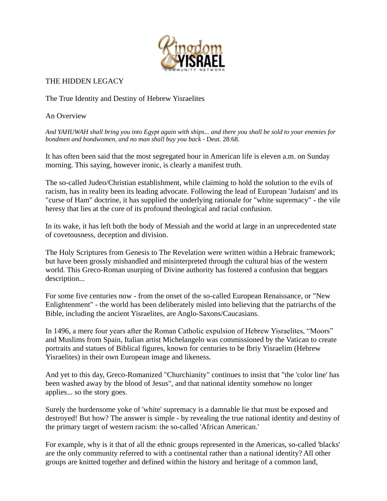

## THE HIDDEN LEGACY

The True Identity and Destiny of Hebrew Yisraelites

An Overview

*And YAHUWAH shall bring you into Egypt again with ships... and there you shall be sold to your enemies for bondmen and bondwomen, and no man shall buy you back -* Deut. 28:68.

It has often been said that the most segregated hour in American life is eleven a.m. on Sunday morning. This saying, however ironic, is clearly a manifest truth.

The so-called Judeo/Christian establishment, while claiming to hold the solution to the evils of racism, has in reality been its leading advocate. Following the lead of European 'Judaism' and its "curse of Ham" doctrine, it has supplied the underlying rationale for "white supremacy" - the vile heresy that lies at the core of its profound theological and racial confusion.

In its wake, it has left both the body of Messiah and the world at large in an unprecedented state of covetousness, deception and division.

The Holy Scriptures from Genesis to The Revelation were written within a Hebraic framework; but have been grossly mishandled and misinterpreted through the cultural bias of the western world. This Greco-Roman usurping of Divine authority has fostered a confusion that beggars description...

For some five centuries now - from the onset of the so-called European Renaissance, or "New Enlightenment" - the world has been deliberately misled into believing that the patriarchs of the Bible, including the ancient Yisraelites, are Anglo-Saxons/Caucasians.

In 1496, a mere four years after the Roman Catholic expulsion of Hebrew Yisraelites, "Moors" and Muslims from Spain, Italian artist Michelangelo was commissioned by the Vatican to create portraits and statues of Biblical figures, known for centuries to be Ibriy Yisraelim (Hebrew Yisraelites) in their own European image and likeness.

And yet to this day, Greco-Romanized "Churchianity" continues to insist that "the 'color line' has been washed away by the blood of Jesus", and that national identity somehow no longer applies... so the story goes.

Surely the burdensome yoke of 'white' supremacy is a damnable lie that must be exposed and destroyed! But how? The answer is simple - by revealing the true national identity and destiny of the primary target of western racism: the so-called 'African American.'

For example, why is it that of all the ethnic groups represented in the Americas, so-called 'blacks' are the only community referred to with a continental rather than a national identity? All other groups are knitted together and defined within the history and heritage of a common land,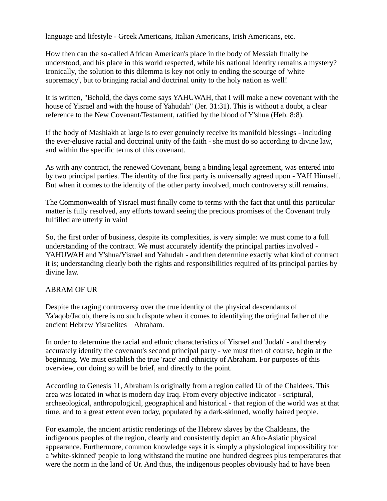language and lifestyle - Greek Americans, Italian Americans, Irish Americans, etc.

How then can the so-called African American's place in the body of Messiah finally be understood, and his place in this world respected, while his national identity remains a mystery? Ironically, the solution to this dilemma is key not only to ending the scourge of 'white supremacy', but to bringing racial and doctrinal unity to the holy nation as well!

It is written, "Behold, the days come says YAHUWAH, that I will make a new covenant with the house of Yisrael and with the house of Yahudah" (Jer. 31:31). This is without a doubt, a clear reference to the New Covenant/Testament, ratified by the blood of Y'shua (Heb. 8:8).

If the body of Mashiakh at large is to ever genuinely receive its manifold blessings - including the ever-elusive racial and doctrinal unity of the faith - she must do so according to divine law, and within the specific terms of this covenant.

As with any contract, the renewed Covenant, being a binding legal agreement, was entered into by two principal parties. The identity of the first party is universally agreed upon - YAH Himself. But when it comes to the identity of the other party involved, much controversy still remains.

The Commonwealth of Yisrael must finally come to terms with the fact that until this particular matter is fully resolved, any efforts toward seeing the precious promises of the Covenant truly fulfilled are utterly in vain!

So, the first order of business, despite its complexities, is very simple: we must come to a full understanding of the contract. We must accurately identify the principal parties involved - YAHUWAH and Y'shua/Yisrael and Yahudah - and then determine exactly what kind of contract it is; understanding clearly both the rights and responsibilities required of its principal parties by divine law.

#### ABRAM OF UR

Despite the raging controversy over the true identity of the physical descendants of Ya'aqob/Jacob, there is no such dispute when it comes to identifying the original father of the ancient Hebrew Yisraelites – Abraham.

In order to determine the racial and ethnic characteristics of Yisrael and 'Judah' - and thereby accurately identify the covenant's second principal party - we must then of course, begin at the beginning. We must establish the true 'race' and ethnicity of Abraham. For purposes of this overview, our doing so will be brief, and directly to the point.

According to Genesis 11, Abraham is originally from a region called Ur of the Chaldees. This area was located in what is modern day Iraq. From every objective indicator - scriptural, archaeological, anthropological, geographical and historical - that region of the world was at that time, and to a great extent even today, populated by a dark-skinned, woolly haired people.

For example, the ancient artistic renderings of the Hebrew slaves by the Chaldeans, the indigenous peoples of the region, clearly and consistently depict an Afro-Asiatic physical appearance. Furthermore, common knowledge says it is simply a physiological impossibility for a 'white-skinned' people to long withstand the routine one hundred degrees plus temperatures that were the norm in the land of Ur. And thus, the indigenous peoples obviously had to have been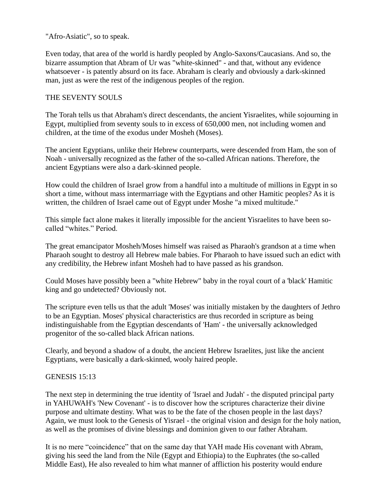"Afro-Asiatic", so to speak.

Even today, that area of the world is hardly peopled by Anglo-Saxons/Caucasians. And so, the bizarre assumption that Abram of Ur was "white-skinned" - and that, without any evidence whatsoever - is patently absurd on its face. Abraham is clearly and obviously a dark-skinned man, just as were the rest of the indigenous peoples of the region.

### THE SEVENTY SOULS

The Torah tells us that Abraham's direct descendants, the ancient Yisraelites, while sojourning in Egypt, multiplied from seventy souls to in excess of 650,000 men, not including women and children, at the time of the exodus under Mosheh (Moses).

The ancient Egyptians, unlike their Hebrew counterparts, were descended from Ham, the son of Noah - universally recognized as the father of the so-called African nations. Therefore, the ancient Egyptians were also a dark-skinned people.

How could the children of Israel grow from a handful into a multitude of millions in Egypt in so short a time, without mass intermarriage with the Egyptians and other Hamitic peoples? As it is written, the children of Israel came out of Egypt under Moshe "a mixed multitude."

This simple fact alone makes it literally impossible for the ancient Yisraelites to have been socalled "whites." Period.

The great emancipator Mosheh/Moses himself was raised as Pharaoh's grandson at a time when Pharaoh sought to destroy all Hebrew male babies. For Pharaoh to have issued such an edict with any credibility, the Hebrew infant Mosheh had to have passed as his grandson.

Could Moses have possibly been a "white Hebrew" baby in the royal court of a 'black' Hamitic king and go undetected? Obviously not.

The scripture even tells us that the adult 'Moses' was initially mistaken by the daughters of Jethro to be an Egyptian. Moses' physical characteristics are thus recorded in scripture as being indistinguishable from the Egyptian descendants of 'Ham' - the universally acknowledged progenitor of the so-called black African nations.

Clearly, and beyond a shadow of a doubt, the ancient Hebrew Israelites, just like the ancient Egyptians, were basically a dark-skinned, wooly haired people.

#### GENESIS 15:13

The next step in determining the true identity of 'Israel and Judah' - the disputed principal party in YAHUWAH's 'New Covenant' - is to discover how the scriptures characterize their divine purpose and ultimate destiny. What was to be the fate of the chosen people in the last days? Again, we must look to the Genesis of Yisrael - the original vision and design for the holy nation, as well as the promises of divine blessings and dominion given to our father Abraham.

It is no mere "coincidence" that on the same day that YAH made His covenant with Abram, giving his seed the land from the Nile (Egypt and Ethiopia) to the Euphrates (the so-called Middle East), He also revealed to him what manner of affliction his posterity would endure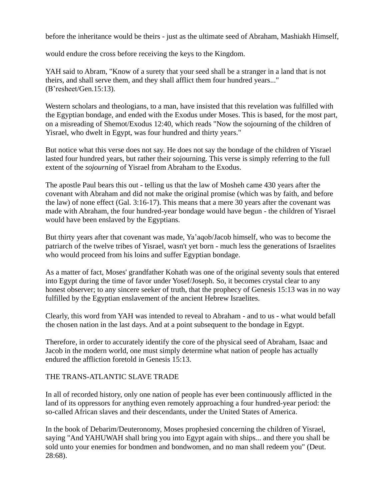before the inheritance would be theirs - just as the ultimate seed of Abraham, Mashiakh Himself,

would endure the cross before receiving the keys to the Kingdom.

YAH said to Abram, "Know of a surety that your seed shall be a stranger in a land that is not theirs, and shall serve them, and they shall afflict them four hundred years..." (B'resheet/Gen.15:13).

Western scholars and theologians, to a man, have insisted that this revelation was fulfilled with the Egyptian bondage, and ended with the Exodus under Moses. This is based, for the most part, on a misreading of Shemot/Exodus 12:40, which reads "Now the sojourning of the children of Yisrael, who dwelt in Egypt, was four hundred and thirty years."

But notice what this verse does not say. He does not say the bondage of the children of Yisrael lasted four hundred years, but rather their sojourning. This verse is simply referring to the full extent of the *sojourning* of Yisrael from Abraham to the Exodus.

The apostle Paul bears this out - telling us that the law of Mosheh came 430 years after the covenant with Abraham and did not make the original promise (which was by faith, and before the law) of none effect (Gal. 3:16-17). This means that a mere 30 years after the covenant was made with Abraham, the four hundred-year bondage would have begun - the children of Yisrael would have been enslaved by the Egyptians.

But thirty years after that covenant was made, Ya'aqob/Jacob himself, who was to become the patriarch of the twelve tribes of Yisrael, wasn't yet born - much less the generations of Israelites who would proceed from his loins and suffer Egyptian bondage.

As a matter of fact, Moses' grandfather Kohath was one of the original seventy souls that entered into Egypt during the time of favor under Yosef/Joseph. So, it becomes crystal clear to any honest observer; to any sincere seeker of truth, that the prophecy of Genesis 15:13 was in no way fulfilled by the Egyptian enslavement of the ancient Hebrew Israelites.

Clearly, this word from YAH was intended to reveal to Abraham - and to us - what would befall the chosen nation in the last days. And at a point subsequent to the bondage in Egypt.

Therefore, in order to accurately identify the core of the physical seed of Abraham, Isaac and Jacob in the modern world, one must simply determine what nation of people has actually endured the affliction foretold in Genesis 15:13.

# THE TRANS-ATLANTIC SLAVE TRADE

In all of recorded history, only one nation of people has ever been continuously afflicted in the land of its oppressors for anything even remotely approaching a four hundred-year period: the so-called African slaves and their descendants, under the United States of America.

In the book of Debarim/Deuteronomy, Moses prophesied concerning the children of Yisrael, saying "And YAHUWAH shall bring you into Egypt again with ships... and there you shall be sold unto your enemies for bondmen and bondwomen, and no man shall redeem you" (Deut. 28:68).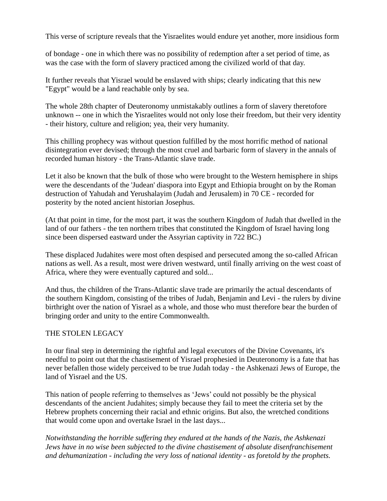This verse of scripture reveals that the Yisraelites would endure yet another, more insidious form

of bondage - one in which there was no possibility of redemption after a set period of time, as was the case with the form of slavery practiced among the civilized world of that day.

It further reveals that Yisrael would be enslaved with ships; clearly indicating that this new "Egypt" would be a land reachable only by sea.

The whole 28th chapter of Deuteronomy unmistakably outlines a form of slavery theretofore unknown -- one in which the Yisraelites would not only lose their freedom, but their very identity - their history, culture and religion; yea, their very humanity.

This chilling prophecy was without question fulfilled by the most horrific method of national disintegration ever devised; through the most cruel and barbaric form of slavery in the annals of recorded human history - the Trans-Atlantic slave trade.

Let it also be known that the bulk of those who were brought to the Western hemisphere in ships were the descendants of the 'Judean' diaspora into Egypt and Ethiopia brought on by the Roman destruction of Yahudah and Yerushalayim (Judah and Jerusalem) in 70 CE - recorded for posterity by the noted ancient historian Josephus.

(At that point in time, for the most part, it was the southern Kingdom of Judah that dwelled in the land of our fathers - the ten northern tribes that constituted the Kingdom of Israel having long since been dispersed eastward under the Assyrian captivity in 722 BC.)

These displaced Judahites were most often despised and persecuted among the so-called African nations as well. As a result, most were driven westward, until finally arriving on the west coast of Africa, where they were eventually captured and sold...

And thus, the children of the Trans-Atlantic slave trade are primarily the actual descendants of the southern Kingdom, consisting of the tribes of Judah, Benjamin and Levi - the rulers by divine birthright over the nation of Yisrael as a whole, and those who must therefore bear the burden of bringing order and unity to the entire Commonwealth.

#### THE STOLEN LEGACY

In our final step in determining the rightful and legal executors of the Divine Covenants, it's needful to point out that the chastisement of Yisrael prophesied in Deuteronomy is a fate that has never befallen those widely perceived to be true Judah today - the Ashkenazi Jews of Europe, the land of Yisrael and the US.

This nation of people referring to themselves as 'Jews' could not possibly be the physical descendants of the ancient Judahites; simply because they fail to meet the criteria set by the Hebrew prophets concerning their racial and ethnic origins. But also, the wretched conditions that would come upon and overtake Israel in the last days...

*Notwithstanding the horrible suffering they endured at the hands of the Nazis, the Ashkenazi Jews have in no wise been subjected to the divine chastisement of absolute disenfranchisement and dehumanization - including the very loss of national identity - as foretold by the prophets.*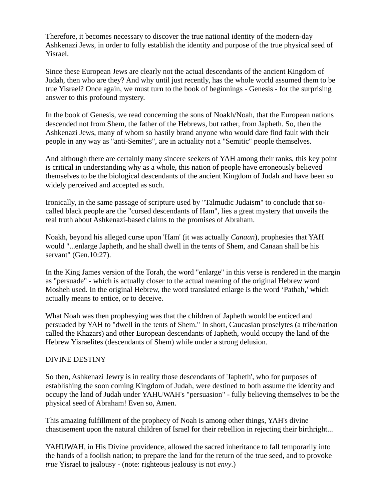Therefore, it becomes necessary to discover the true national identity of the modern-day Ashkenazi Jews, in order to fully establish the identity and purpose of the true physical seed of Yisrael.

Since these European Jews are clearly not the actual descendants of the ancient Kingdom of Judah, then who are they? And why until just recently, has the whole world assumed them to be true Yisrael? Once again, we must turn to the book of beginnings - Genesis - for the surprising answer to this profound mystery.

In the book of Genesis, we read concerning the sons of Noakh/Noah, that the European nations descended not from Shem, the father of the Hebrews, but rather, from Japheth. So, then the Ashkenazi Jews, many of whom so hastily brand anyone who would dare find fault with their people in any way as "anti-Semites", are in actuality not a "Semitic" people themselves.

And although there are certainly many sincere seekers of YAH among their ranks, this key point is critical in understanding why as a whole, this nation of people have erroneously believed themselves to be the biological descendants of the ancient Kingdom of Judah and have been so widely perceived and accepted as such.

Ironically, in the same passage of scripture used by "Talmudic Judaism" to conclude that socalled black people are the "cursed descendants of Ham", lies a great mystery that unveils the real truth about Ashkenazi-based claims to the promises of Abraham.

Noakh, beyond his alleged curse upon 'Ham' (it was actually *Canaan*), prophesies that YAH would "...enlarge Japheth, and he shall dwell in the tents of Shem, and Canaan shall be his servant" (Gen.10:27).

In the King James version of the Torah, the word "enlarge" in this verse is rendered in the margin as "persuade" - which is actually closer to the actual meaning of the original Hebrew word Mosheh used. In the original Hebrew, the word translated enlarge is the word 'Pathah,' which actually means to entice, or to deceive.

What Noah was then prophesying was that the children of Japheth would be enticed and persuaded by YAH to "dwell in the tents of Shem." In short, Caucasian proselytes (a tribe/nation called the Khazars) and other European descendants of Japheth, would occupy the land of the Hebrew Yisraelites (descendants of Shem) while under a strong delusion.

#### DIVINE DESTINY

So then, Ashkenazi Jewry is in reality those descendants of 'Japheth', who for purposes of establishing the soon coming Kingdom of Judah, were destined to both assume the identity and occupy the land of Judah under YAHUWAH's "persuasion" - fully believing themselves to be the physical seed of Abraham! Even so, Amen.

This amazing fulfillment of the prophecy of Noah is among other things, YAH's divine chastisement upon the natural children of Israel for their rebellion in rejecting their birthright...

YAHUWAH, in His Divine providence, allowed the sacred inheritance to fall temporarily into the hands of a foolish nation; to prepare the land for the return of the true seed, and to provoke *true* Yisrael to jealousy - (note: righteous jealousy is not *envy*.)